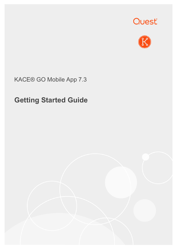



# KACE® GO Mobile App 7.3

# **Getting Started Guide**

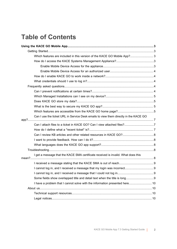# **Table of Contents**

|      | Which features are included in this version of the KACE GO Mobile App? 3             |  |
|------|--------------------------------------------------------------------------------------|--|
|      |                                                                                      |  |
|      |                                                                                      |  |
|      |                                                                                      |  |
|      |                                                                                      |  |
|      |                                                                                      |  |
|      |                                                                                      |  |
|      |                                                                                      |  |
|      |                                                                                      |  |
|      |                                                                                      |  |
|      |                                                                                      |  |
|      |                                                                                      |  |
|      | Can I use the ticket URL in Service Desk emails to view them directly in the KACE GO |  |
| app? |                                                                                      |  |
|      |                                                                                      |  |
|      |                                                                                      |  |
|      |                                                                                      |  |
|      |                                                                                      |  |
|      |                                                                                      |  |
|      |                                                                                      |  |
|      | I get a message that the KACE SMA certificate received is invalid. What does this    |  |
|      |                                                                                      |  |
|      |                                                                                      |  |
|      |                                                                                      |  |
|      |                                                                                      |  |
|      | I have a problem that I cannot solve with the information presented here 10          |  |
|      |                                                                                      |  |
|      |                                                                                      |  |
|      |                                                                                      |  |
|      |                                                                                      |  |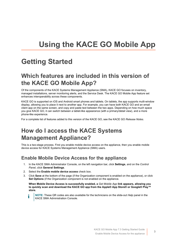# **Using the KACE GO Mobile App**

# <span id="page-2-1"></span><span id="page-2-0"></span>**Getting Started**

# <span id="page-2-2"></span>**Which features are included in this version of the KACE GO Mobile App?**

Of the components of the KACE Systems Management Appliance (SMA), KACE GO focuses on inventory, managed installations, server monitoring alerts, and the Service Desk. The KACE GO Mobile App feature set enhances interoperability across these components.

KACE GO is supported on iOS and Android smart phones and tablets. On tablets, the app supports multi-window display, allowing you to place it next to another app. For example, you can have both KACE GO and an email client app on the same screen, and copy and paste text between the two apps. Depending on how much space you give KACE GO, it can switch between a tablet-like appearance (with a primary/detail view), and a more phone-like experience.

For a complete list of features added to this version of the KACE GO, see the KACE GO *Release Notes*.

# <span id="page-2-3"></span>**How do I access the KACE Systems Management Appliance?**

This is a two-stage process. First you enable mobile device access on the appliance, then you enable mobile device access for KACE Systems Management Appliance (SMA) users.

#### <span id="page-2-4"></span>**Enable Mobile Device Access for the appliance**

- 1. In the KACE SMA Administrator Console, on the left navigation bar, click **Settings**, and on the *Control Panel*, click **General Settings**.
- 2. Select the **Enable mobile device access** check box.
- 3. Click **Save** at the bottom of the page (if the Organization component is enabled on the appliance), or click **Set Options** (if the Organization component is not enabled on the appliance.

**When Mobile Device Access is successfully enabled, a** *Get Mobile App* **link appears, allowing you to quickly scan and download the KACE GO app from the Apple® App Store® or Google® Play™ store.**



**NOTE:** These QR codes are also available for the technicians on the slide-out *Help* panel in the KACE SMA Administration Console.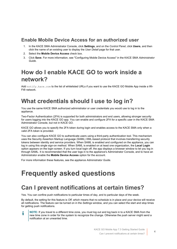### <span id="page-3-0"></span>**Enable Mobile Device Access for an authorized user**

- 1. In the KACE SMA Administrator Console, click **Settings**, and on the *Control Panel*, click **Users**, and then click the name of an existing user to display the *User Detail* page for that user.
- 2. Select the **Mobile Device Access** check box.
- 3. Click **Save**. For more information, see "Configuring Mobile Device Access" in the KACE SMA *Administrator Guide*.

# <span id="page-3-1"></span>**How do I enable KACE GO to work inside a network?**

Add notify. kace.com to the list of whitelisted URLs if you want to use the KACE GO Mobile App inside a Wi-Fi® network.

### <span id="page-3-2"></span>**What credentials should I use to log in?**

You use the same KACE SMA authorized administrator or user credentials you would use to log in to the appliance.

Two-Factor Authentication (2FA) is supported for both administrators and end users, allowing stronger security for users logging into the KACE GO app. You can enable and configure 2FA for a specific user in the KACE SMA Administrator Console, but not in KACE GO.

KACE GO allows you to specify the 2FA token during login and enables access to the KACE SMA only when a valid 2FA token is provided.

You can also configure KACE GO to authenticate users using a third-party authentication tool. This mechanism uses the Security Assertion Markup Language (SAML) XML-based protocol that involves transferring security tokens between identity and service providers. When SAML is enabled and configured on the appliance, you can log in using this single sign-on method. When SAML is enabled on at least one organization, the **Local Login** option appears on the login screen. If you turn local login off, the app displays a browser window to let you log in through SAML. It is recommended that the user logs in to the appliance's Administrator Console, and to have an Administrator enable the **Mobile Device Access** option for the account.

For more information these features, see the appliance *Administrator Guide*.

# <span id="page-3-3"></span>**Frequently asked questions**

# <span id="page-3-4"></span>**Can I prevent notifications at certain times?**

Yes. You can confine push notifications to particular times of day, and to particular days of the week.

By default, the setting for this feature is *Off*, which means that no schedule is in place and your device will receive all notifications. The feature can be turned on in the *Settings* window, and you can select the start and stop times for getting push notifications.

**NOTE:** If you travel to a different time zone, you must log out and log back in to a KACE SMA from the i new time zone in order for the system to recognize the change. Otherwise the push server might send a notification at an unwanted time.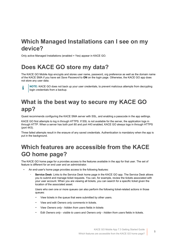# <span id="page-4-0"></span>**Which Managed Installations can I see on my device?**

Only active Managed Installations (enabled = Yes) appear in KACE GO.

# <span id="page-4-1"></span>**Does KACE GO store my data?**

The KACE GO Mobile App encrypts and stores user name, password, org preference as well as the domain name of the KACE SMA if you have set *Save Password* to **ON** on the login page. Otherwise, the KACE GO app does not store any user data.

i

**NOTE:** KACE GO does not back up your user credentials, to prevent malicious attempts from decrypting login credentials from a backup.

# <span id="page-4-2"></span>**What is the best way to secure my KACE GO app?**

Quest recommends configuring the KACE SMA server with SSL, and enabling a passcode in the app settings.

KACE GO first attempts to log in through HTTPS. If SSL is not available for the server, the application logs in through HTTP. When a server has both port 80 and port 443 enabled, KACE GO always logs in through HTTPS (port 443).

Three failed attempts result in the erasure of any saved credentials. Authentication is mandatory when the app is put in the background.

# <span id="page-4-3"></span>**Which features are accessible from the KACE GO home page?**

The KACE GO home page for a provides access to the features available in the app for that user. The set of feature is different for an end user and an administrator.

- An end-user's home page provides access to the following features:
	- **Service Desk**: Links to the Service Desk home page in the KACE GO app. The Service Desk allows you to submit and manage ticket requests. You can, for example, review the tickets associated with your user account. When you are viewing all tickets, you can search for a specific ticket given the location of the associated asset.

Users who own one or more queues can also perform the following ticket-related actions in those queues:

- View tickets in the queue that were submitted by other users.
- View and edit *Owners only comments* in tickets.
- View *Owners only hidden from users* fields in tickets
- Edit *Owners only visible to users* and *Owners only hidden from users* fields in tickets.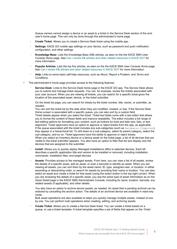Queue owners cannot assign a device or an asset to a ticket in the Service Desk section of the enduser's home page. This can only be done through the administrator's home page.

- **Create Ticket:** Allows you to create a Service Desk ticket using the mobile app.
- **Settings: KACE GO mobile app settings on your device, such as password and push notification** configuration, and other settings.
- **Knowledge Base**: Lists the Knowledge Base (KB) articles, as seen on the the KACE SMA User Console *Home* page. See [Can I review KB articles and other related resources in KACE GO?](#page-7-0) for more information.
- **Popular Articles:** Lists the top five articles, as seen on the the KACE SMA User Console *Home* page. See [Can I review KB articles and other related resources in KACE GO?](#page-7-0) for more information.
- **Help**: Links to some basic self-help resources, such as *About*, *Report a Problem*, and *Terms and Conditions*.
- The administrator's home page provides access to the following features:
	- **Service Desk**: Links to the Service Desk home page in the KACE GO app. The Service Desk allows you to submit and manage ticket requests. You can, for example, review the tickets associated with your user account. When you are viewing all tickets, you can search for a specific ticket given the location of the associated asset, device, or the ticket submitter.

On the ticket list page, you can search for tickets by the ticket number, title, owner, or submitter, as needed.

You can sort the ticket list by the date when they are modified, created, or due. If the Service Desk Home screen is associated with a specific queue, you can also sort by a custom field. Ticket details appear when you select the ticket. Ticket text fields come with a text editor that allows you to format the content of these fields and improve readability. The editor includes a full range of text editing options for formatting your content, such as buttons for bold and italic text, lists, or text alignment. Ticket approvers have an option to approve or reject tickets from the app, as applicable. If the queue associated with the ticket includes any sub-categories (such as Hardware::Computer), they appear in a hierarchical list. To drill down to a sub-category, select its parent category, select the sub-category, and so on. Ticket approvers have the ability to approve or reject tickets. When you select an inventory device or a device asset on the ticket page, a list of all devices that are visible to the ticket submitter appears. You also have an option to filter that list and display only the devices that are assigned to the submitter.

- **Install:** Allows you to quickly deploy Managed Installations (MIs) to selected devices. Each MI describes a specific application title and version to be installed or removed, including installation commands, installation files, and target devices.
- **Assets**: Provides access to the managed assets. From here, you can view a list of all assets, review the details of a specific asset, add an asset, or scan a barcode to identify an asset. When you are viewing all assets, you can sort them by the asset name, ID, type, assigned user, or location, in either ascending or descending order, or search for assets by providing their name or location. You can also select an asset and create a ticket for that asset (using the action button in the top-right corner). When you are reviewing the details of a specific asset, you see the same type of asset information as on the *Asset Detail* page in the KACE SMA Administrator Console, including its name, location, barcode, any related assets (if applicable), and other details.

You also have an option to archive device assets, as needed. An asset that is pending archival can be restored by cancelling the archive action. The details of an archived device are available in read-only mode.

Bulk asset operations are also available to helps you quickly manage multiple assets, instead of one by one. You can perform bulk operations when creating, editing, and archiving assets.

◦ **Create Ticket**: Allows you to create a Service Desk ticket. You can create a ticket based on a queue, or use a ticket template. A ticket template specifies a set of fields that appear on the *Ticket*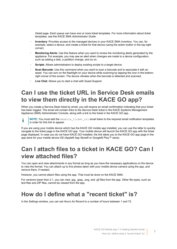*Detail* page. Each queue can have one or more ticket templates. For more information about ticket templates, see the KACE SMA *Administrator Guide*.

- **Inventory:** Provides access to the managed devices in your KACE SMA inventory. You can, for example, select a device, and create a ticket for that device (using the action button in the top-right corner).
- **Monitoring Alerts**: Use this feature when you want to review the monitoring alerts generated by the appliance. For example, you may see an alert when changes are made to a device configuration, such as adding a disk, a partition change, and so on.
- **Scripts**: Allows administrators to deploy existing scripts to a target device.
- **Scan Barcode**: Use this command when you want to scan a barcode and to associate it with an asset. You can turn on the flashlight on your device while scanning by tapping the icon in the bottomright corner of the screen. The device vibrates when the barcode is detected and scanned.
- **Live Chat: Allows you to start a chat with Quest Support.**

# <span id="page-6-0"></span>**Can I use the ticket URL in Service Desk emails to view them directly in the KACE GO app?**

When you create a Service Desk ticket by email, you will receive an email confirmation indicating that your ticket has been logged. The email will contain links to the Service Desk ticket in the KACE Systems Management Appliance (SMA) Administrator Console, along with a link to the ticket in the KACE GO app.

**NOTE:** You must add the \$mobile ticket url email token to the required email notification templates i in order for this link to appear.

If you are using your mobile device which has the KACE GO mobile app installed, you can use the latter to quickly navigate to the ticket page in the KACE GO app. Your mobile device will launch the KACE GO app with the ticket page displayed. In case you do not have KACE GO installed, the link takes you to the KACE GO app page in the app store for your mobile device OS (Apple® App Store® or Google® Play™ store).

### <span id="page-6-1"></span>**Can I attach files to a ticket in KACE GO? Can I view attached files?**

You can open and view attachments in any format as long as you have the necessary applications on the device to view the format. You can attach up to five photos taken with your mobile device camera using the app, and remove them, if needed.

However, you cannot attach files using the app. That must be done on the KACE SMA.

For versions lower than 2.1, you can view .jpg, .jpeg, .png, and .gif files from the app. Other file types, such as text files and ZIP files, cannot be viewed from the app.

### <span id="page-6-2"></span>**How do I define what a "recent ticket" is?**

In the *Settings* window, you can set *Hours As Recent* to a number of hours between 1 and 72.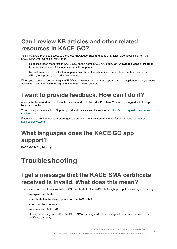# <span id="page-7-0"></span>**Can I review KB articles and other related resources in KACE GO?**

Yes, KACE GO provides access to the latest Knowledge Base and popular articles, also accessible from the KACE SMA User Console *Home* page.

- To access these resources in KACE GO, on the home KACE GO page, tap **Knowledge Base** or **Popular Articles**, as required. A list of related articles appears.
- To read an article, in the list that appears, simply tap the article title. The article contents appear in rich HTML, to improve your reading experience.

When you access an article using KACE GO, the article view counts are updated on the appliance, as if you were accessing the same article through the KACE SMA User Console.

# <span id="page-7-1"></span>**I want to provide feedback. How can I do it?**

Access the *Help* window from the action menu, and click **Report a Problem**. You must be logged in to the app to be able to do this.

To report a problem, visit our Support portal and create a service request at [https://support.quest.com/create](https://support.quest.com/create-service-request)[service-request.](https://support.quest.com/create-service-request)

If you want to provide feedback or suggest an enhancement, visit our customer feedback portal at [https://](https://kace.uservoice.com) [kace.uservoice.com.](https://kace.uservoice.com)

# <span id="page-7-2"></span>**What languages does the KACE GO app support?**

KACE GO is English-only.

# <span id="page-7-3"></span>**Troubleshooting**

# <span id="page-7-4"></span>**I get a message that the KACE SMA certificate received is invalid. What does this mean?**

There are a number of reasons that the SSL certificate for the KACE SMA might prompt this message, including:

- an expired certificate
- a certificate that has been updated on the KACE SMA
- a compromised network
- an unfamiliar KACE SMA
- others, depending on whether the KACE SMA is configured with a self-signed certificate, or one from a certificate authority.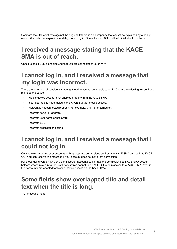Compare the SSL certificate against the original. If there is a discrepancy that cannot be explained by a benign reason (for instance, expiration, update), do not log in. Contact your KACE SMA administrator for options.

# <span id="page-8-0"></span>**I received a message stating that the KACE SMA is out of reach.**

Check to see if SSL is enabled and that you are connected through VPN.

# <span id="page-8-1"></span>**I cannot log in, and I received a message that my login was incorrect.**

There are a number of conditions that might lead to you not being able to log in. Check the following to see if one might be the cause:

- Mobile device access is not enabled properly from the KACE SMA.
- Your user role is not enabled in the KACE SMA for mobile access.
- Network is not connected properly. For example, VPN is not turned on.
- Incorrect server IP address.
- Incorrect user name or password.
- Incorrect SSL.
- Incorrect organization setting.

# <span id="page-8-2"></span>**I cannot log in, and I received a message that I could not log in.**

Only administrator and user accounts with appropriate permissions set from the KACE SMA can log in to KACE GO. You can receive this message if your account does not have that permission.

For those using version 1.x , only administrator accounts could have the permission set. KACE SMA account holders whose role is *User* or *Login not allowed* cannot use KACE GO to gain access to a KACE SMA, even if their accounts are enabled for Mobile Device Access on the KACE SMA.

# <span id="page-8-3"></span>**Some fields show overlapped title and detail text when the title is long.**

Try landscape mode.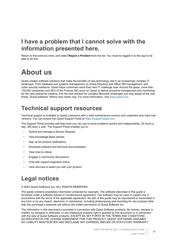# <span id="page-9-0"></span>**I have a problem that I cannot solve with the information presented here.**

Return to the previous menu and select **Report a Problem** from the list. You must be logged in to the app to be able to do this.

# <span id="page-9-1"></span>**About us**

Quest creates software solutions that make the benefits of new technology real in an increasingly complex IT landscape. From database and systems management, to Active Directory and Office 365 management, and cyber security resilience, Quest helps customers solve their next IT challenge now. Around the globe, more than 130,000 companies and 95% of the Fortune 500 count on Quest to deliver proactive management and monitoring for the next enterprise initiative, find the next solution for complex Microsoft challenges and stay ahead of the next threat. Quest Software. Where next meets now. For more information, visit [www.quest.com.](https://www.quest.com/company/contact-us.aspx)

# <span id="page-9-2"></span>**Technical support resources**

Technical support is available to Quest customers with a valid maintenance contract and customers who have trial versions. You can access the Quest Support Portal at [https://support.quest.com.](https://support.quest.com/)

The Support Portal provides self-help tools you can use to solve problems quickly and independently, 24 hours a day, 365 days a year. The Support Portal enables you to:

- Submit and manage a Service Request
- View Knowledge Base articles
- Sign up for product notifications
- Download software and technical documentation
- View how-to-videos
- Engage in community discussions
- Chat with support engineers online
- View services to assist you with your product.

# <span id="page-9-3"></span>**Legal notices**

**© 2022 Quest Software Inc. ALL RIGHTS RESERVED.**

This guide contains proprietary information protected by copyright. The software described in this guide is furnished under a software license or nondisclosure agreement. This software may be used or copied only in accordance with the terms of the applicable agreement. No part of this guide may be reproduced or transmitted in any form or by any means, electronic or mechanical, including photocopying and recording for any purpose other than the purchaser's personal use without the written permission of Quest Software Inc.

The information in this document is provided in connection with Quest Software products. No license, express or implied, by estoppel or otherwise, to any intellectual property right is granted by this document or in connection with the sale of Quest Software products. EXCEPT AS SET FORTH IN THE TERMS AND CONDITIONS AS SPECIFIED IN THE LICENSE AGREEMENT FOR THIS PRODUCT, QUEST SOFTWARE ASSUMES NO LIABILITY WHATSOEVER AND DISCLAIMS ANY EXPRESS, IMPLIED OR STATUTORY WARRANTY